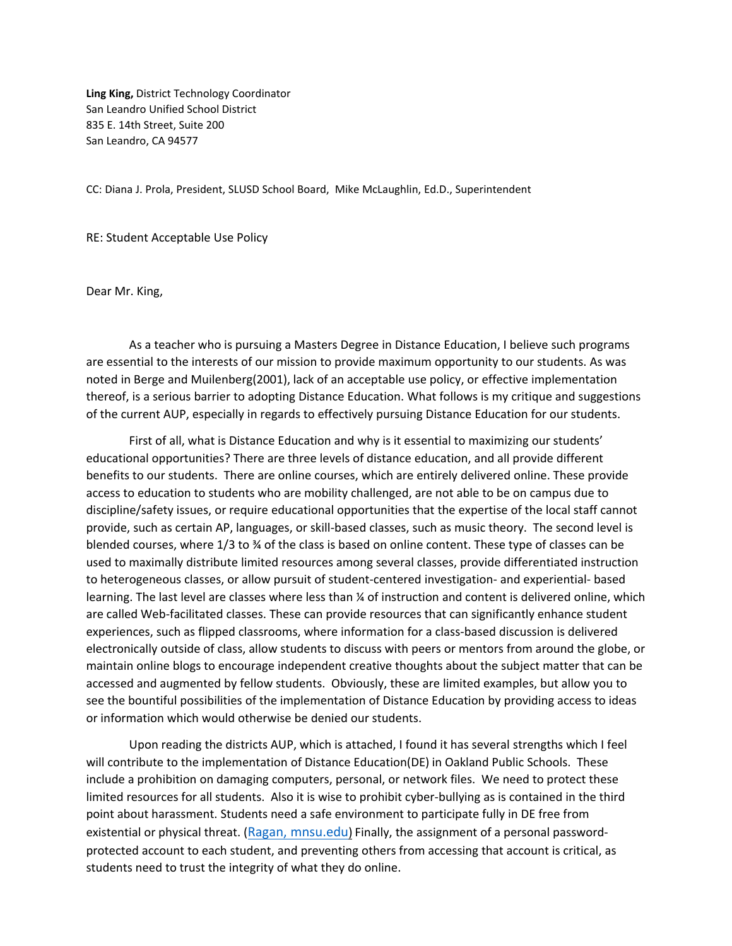**Ling King,** District Technology Coordinator San Leandro Unified School District 835 E. 14th Street, Suite 200 San Leandro, CA 94577

CC: Diana J. Prola, President, SLUSD School Board, Mike McLaughlin, Ed.D., Superintendent

RE: Student Acceptable Use Policy

Dear Mr. King,

As a teacher who is pursuing a Masters Degree in Distance Education, I believe such programs are essential to the interests of our mission to provide maximum opportunity to our students. As was noted in Berge and Muilenberg(2001), lack of an acceptable use policy, or effective implementation thereof, is a serious barrier to adopting Distance Education. What follows is my critique and suggestions of the current AUP, especially in regards to effectively pursuing Distance Education for our students.

First of all, what is Distance Education and why is it essential to maximizing our students' educational opportunities? There are three levels of distance education, and all provide different benefits to our students. There are online courses, which are entirely delivered online. These provide access to education to students who are mobility challenged, are not able to be on campus due to discipline/safety issues, or require educational opportunities that the expertise of the local staff cannot provide, such as certain AP, languages, or skill-based classes, such as music theory. The second level is blended courses, where 1/3 to ¾ of the class is based on online content. These type of classes can be used to maximally distribute limited resources among several classes, provide differentiated instruction to heterogeneous classes, or allow pursuit of student-centered investigation- and experiential- based learning. The last level are classes where less than  $\frac{1}{4}$  of instruction and content is delivered online, which are called Web-facilitated classes. These can provide resources that can significantly enhance student experiences, such as flipped classrooms, where information for a class-based discussion is delivered electronically outside of class, allow students to discuss with peers or mentors from around the globe, or maintain online blogs to encourage independent creative thoughts about the subject matter that can be accessed and augmented by fellow students. Obviously, these are limited examples, but allow you to see the bountiful possibilities of the implementation of Distance Education by providing access to ideas or information which would otherwise be denied our students.

Upon reading the districts AUP, which is attached, I found it has several strengths which I feel will contribute to the implementation of Distance Education(DE) in Oakland Public Schools. These include a prohibition on damaging computers, personal, or network files. We need to protect these limited resources for all students. Also it is wise to prohibit cyber-bullying as is contained in the third point about harassment. Students need a safe environment to participate fully in DE free from existential or physical threat. ([Ragan, mnsu.edu](https://www.mnsu.edu/cetl/teachingwithtechnology/tech_resources_pdf/Ten%20Principles%20of%20Effective%20Online%20Teaching.pdf)) Finally, the assignment of a personal passwordprotected account to each student, and preventing others from accessing that account is critical, as students need to trust the integrity of what they do online.